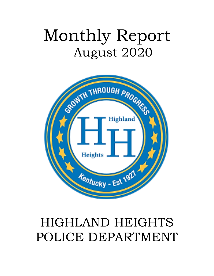# Monthly Report August 2020



## HIGHLAND HEIGHTS POLICE DEPARTMENT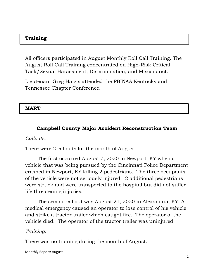#### **Training**

All officers participated in August Monthly Roll Call Training. The August Roll Call Training concentrated on High-Risk Critical Task/Sexual Harassment, Discrimination, and Misconduct.

Lieutenant Greg Haigis attended the FBINAA Kentucky and Tennessee Chapter Conference.

#### **MART**

#### **Campbell County Major Accident Reconstruction Team**

#### *Callouts:*

There were 2 callouts for the month of August.

The first occurred August 7, 2020 in Newport, KY when a vehicle that was being pursued by the Cincinnati Police Department crashed in Newport, KY killing 2 pedestrians. The three occupants of the vehicle were not seriously injured. 2 additional pedestrians were struck and were transported to the hospital but did not suffer life threatening injuries.

The second callout was August 21, 2020 in Alexandria, KY. A medical emergency caused an operator to lose control of his vehicle and strike a tractor trailer which caught fire. The operator of the vehicle died. The operator of the tractor trailer was uninjured.

#### *Training:*

There was no training during the month of August.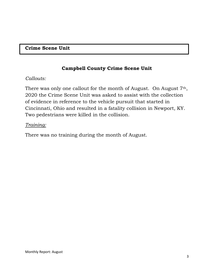#### **Crime Scene Unit**

#### **Campbell County Crime Scene Unit**

#### *Callouts:*

There was only one callout for the month of August. On August 7<sup>th</sup>, 2020 the Crime Scene Unit was asked to assist with the collection of evidence in reference to the vehicle pursuit that started in Cincinnati, Ohio and resulted in a fatality collision in Newport, KY. Two pedestrians were killed in the collision.

#### *Training:*

There was no training during the month of August.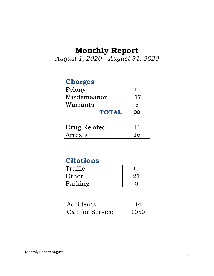## **Monthly Report**

*August 1, 2020 – August 31, 2020*

| <b>Charges</b> |    |
|----------------|----|
| Felony         | 11 |
| Misdemeanor    | 17 |
| Warrants       | 5  |
| <b>TOTAL</b>   | 33 |
|                |    |
|                |    |
| Drug Related   | 11 |

| <b>Citations</b> |     |
|------------------|-----|
| Traffic          | 1 Q |
| Other            | 2.1 |
| Parking          |     |

| Accidents        |      |
|------------------|------|
| Call for Service | 1050 |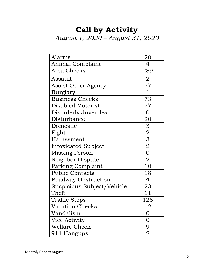## **Call by Activity** *August 1, 2020 – August 31, 2020*

| Alarms                     | 20             |
|----------------------------|----------------|
| Animal Complaint           | $\overline{4}$ |
| Area Checks                | 289            |
| Assault                    | $\overline{2}$ |
| Assist Other Agency        | 57             |
| Burglary                   | $\mathbf{1}$   |
| <b>Business Checks</b>     | 73             |
| Disabled Motorist          | 27             |
| Disorderly Juveniles       | $\overline{0}$ |
| Disturbance                | 20             |
| Domestic                   | 3              |
| Fight                      |                |
| Harassment                 | $\frac{2}{3}$  |
| Intoxicated Subject        |                |
| Missing Person             | $\overline{0}$ |
| Neighbor Dispute           | $\mathbf 2$    |
| Parking Complaint          | 10             |
| <b>Public Contacts</b>     | 18             |
| Roadway Obstruction        | 4              |
| Suspicious Subject/Vehicle | 23             |
| Theft                      | 11             |
| <b>Traffic Stops</b>       | 128            |
| <b>Vacation Checks</b>     | 12             |
| Vandalism                  | 0              |
| Vice Activity              | 0              |
| <b>Welfare Check</b>       | 9              |
| 911 Hangups                | 2              |